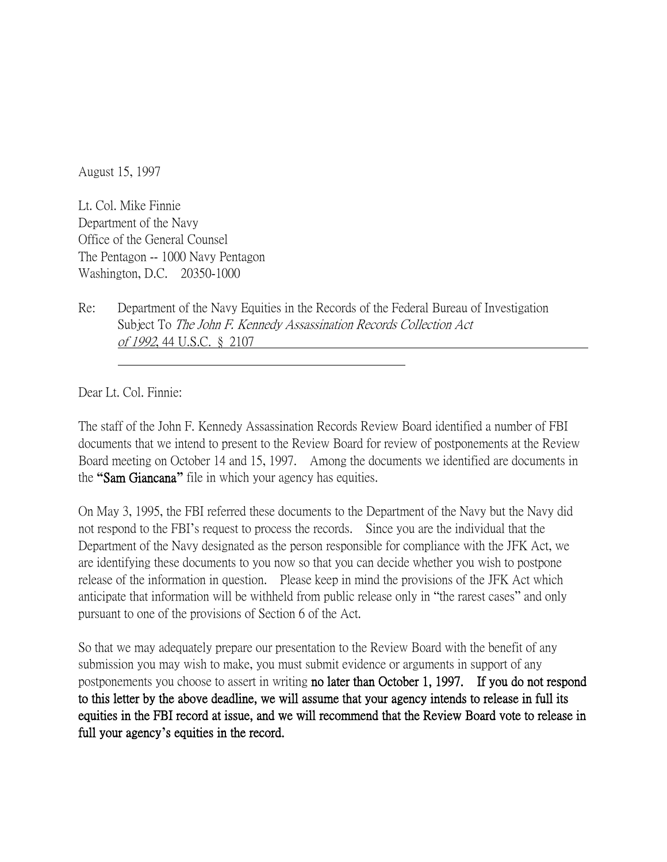August 15, 1997

Lt. Col. Mike Finnie Department of the Navy Office of the General Counsel The Pentagon -- 1000 Navy Pentagon Washington, D.C. 20350-1000

Re: Department of the Navy Equities in the Records of the Federal Bureau of Investigation Subject To The John F. Kennedy Assassination Records Collection Act of 1992, 44 U.S.C. § 2107

Dear Lt. Col. Finnie:

The staff of the John F. Kennedy Assassination Records Review Board identified a number of FBI documents that we intend to present to the Review Board for review of postponements at the Review Board meeting on October 14 and 15, 1997. Among the documents we identified are documents in the **"**Sam Giancana**"** file in which your agency has equities.

On May 3, 1995, the FBI referred these documents to the Department of the Navy but the Navy did not respond to the FBI's request to process the records. Since you are the individual that the Department of the Navy designated as the person responsible for compliance with the JFK Act, we are identifying these documents to you now so that you can decide whether you wish to postpone release of the information in question. Please keep in mind the provisions of the JFK Act which anticipate that information will be withheld from public release only in "the rarest cases" and only pursuant to one of the provisions of Section 6 of the Act.

So that we may adequately prepare our presentation to the Review Board with the benefit of any submission you may wish to make, you must submit evidence or arguments in support of any postponements you choose to assert in writing no later than October 1, 1997. If you do not respond to this letter by the above deadline, we will assume that your agency intends to release in full its equities in the FBI record at issue, and we will recommend that the Review Board vote to release in full your agency**'**s equities in the record.